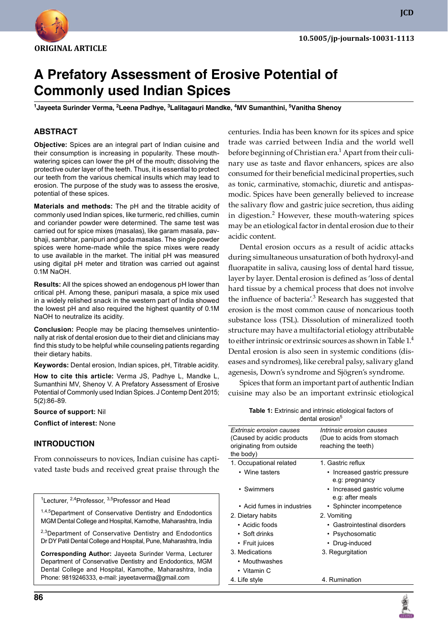

**JCD**

# **A Prefatory Assessment of Erosive Potential of Commonly used Indian Spices**

<sup>1</sup>Jayeeta Surinder Verma, <sup>2</sup>Leena Padhye, <sup>3</sup>Lalitagauri Mandke, <sup>4</sup>MV Sumanthini, <sup>5</sup>Vanitha Shenoy

## **ABSTRACT**

**Objective:** Spices are an integral part of Indian cuisine and their consumption is increasing in popularity. These mouthwatering spices can lower the pH of the mouth; dissolving the protective outer layer of the teeth. Thus, it is essential to protect our teeth from the various chemical insults which may lead to erosion. The purpose of the study was to assess the erosive, potential of these spices.

**Materials and methods:** The pH and the titrable acidity of commonly used Indian spices, like turmeric, red chillies, cumin and coriander powder were determined. The same test was carried out for spice mixes (masalas), like garam masala, pavbhaji, sambhar, panipuri and goda masalas. The single powder spices were home-made while the spice mixes were ready to use available in the market. The initial pH was measured using digital pH meter and titration was carried out against 0.1M NaOH.

**Results:** All the spices showed an endogenous pH lower than critical pH. Among these, panipuri masala, a spice mix used in a widely relished snack in the western part of India showed the lowest pH and also required the highest quantity of 0.1M NaOH to neutralize its acidity.

**Conclusion:** People may be placing themselves unintentionally at risk of dental erosion due to their diet and clinicians may find this study to be helpful while counseling patients regarding their dietary habits.

**Keywords:** Dental erosion, Indian spices, ph, Titrable acidity.

**How to cite this article:** Verma JS, Padhye L, Mandke L, Sumanthini MV, Shenoy V. A Prefatory Assessment of Erosive Potential of Commonly used Indian Spices. J Contemp Dent 2015; 5(2):86-89.

**Source of support:** Nil

**Conflict of interest:** None

#### **Introduction**

From connoisseurs to novices, Indian cuisine has captivated taste buds and received great praise through the

<sup>1</sup>Lecturer, <sup>2,4</sup>Professor, <sup>3,5</sup>Professor and Head

1,4,5 Department of Conservative Dentistry and Endodontics Mgm Dental College and Hospital, Kamothe, Maharashtra, India

<sup>2,3</sup>Department of Conservative Dentistry and Endodontics Dr DY Patil Dental College and Hospital, Pune, Maharashtra, India

**Corresponding Author:** Jayeeta Surinder Verma, Lecturer Department of Conservative Dentistry and Endodontics, MGM Dental College and Hospital, Kamothe, Maharashtra, India Phone: 9819246333, e-mail: jayeetaverma@gmail.com

may be an etiological factor in dental erosion due to their acidic content. Dental erosion occurs as a result of acidic attacks during simultaneous unsaturation of both hydroxyl-and fluorapatite in saliva, causing loss of dental hard tissue, layer by layer. Dental erosion is defined as 'loss of dental hard tissue by a chemical process that does not involve the influence of bacteria<sup>'</sup>.<sup>3</sup> Research has suggested that erosion is the most common cause of noncarious tooth substance loss (TSL). Dissolution of mineralized tooth structure may have a multifactorial etiology attributable

to either intrinsic or extrinsic sources as shown in Table 1.<sup>4</sup> Dental erosion is also seen in systemic conditions (diseases and syndromes), like cerebral palsy, salivary gland agenesis, Down's syndrome and Sjögren's syndrome.

centuries. India has been known for its spices and spice trade was carried between India and the world well before beginning of Christian era.<sup>1</sup> Apart from their culinary use as taste and flavor enhancers, spices are also consumed for their beneficial medicinal properties, such as tonic, carminative, stomachic, diuretic and antispasmodic. Spices have been generally believed to increase the salivary flow and gastric juice secretion, thus aiding in digestion.<sup>2</sup> However, these mouth-watering spices

Spices that form an important part of authentic Indian cuisine may also be an important extrinsic etiological

| <b>Table 1:</b> Extrinsic and intrinsic etiological factors of |  |  |
|----------------------------------------------------------------|--|--|
| dental erosion <sup>5</sup>                                    |  |  |

| Extrinsic erosion causes<br>(Caused by acidic products<br>originating from outside<br>the body) | Intrinsic erosion causes<br>(Due to acids from stomach<br>reaching the teeth) |
|-------------------------------------------------------------------------------------------------|-------------------------------------------------------------------------------|
| 1. Occupational related                                                                         | 1. Gastric reflux                                                             |
| • Wine tasters                                                                                  | • Increased gastric pressure<br>e.g: pregnancy                                |
| • Swimmers                                                                                      | Increased gastric volume<br>e.g: after meals                                  |
| • Acid fumes in industries                                                                      | • Sphincter incompetence                                                      |
| 2. Dietary habits                                                                               | 2. Vomiting                                                                   |
| • Acidic foods                                                                                  | • Gastrointestinal disorders                                                  |
| • Soft drinks                                                                                   | • Psychosomatic                                                               |
| • Fruit juices                                                                                  | Drug-induced                                                                  |
| 3. Medications                                                                                  | 3. Regurgitation                                                              |
| • Mouthwashes                                                                                   |                                                                               |
| • Vitamin C                                                                                     |                                                                               |
| 4. Life style                                                                                   | 4. Rumination                                                                 |
|                                                                                                 |                                                                               |

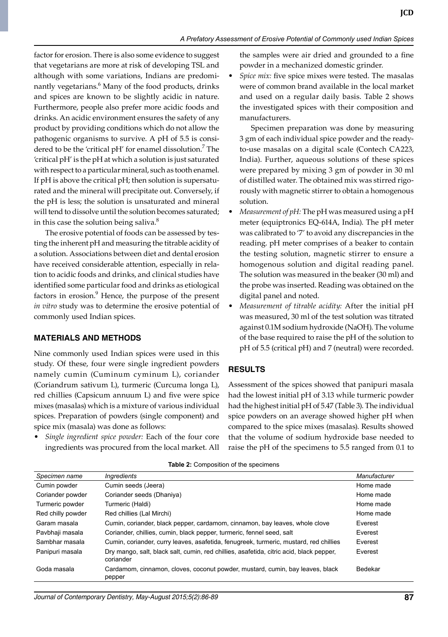factor for erosion. There is also some evidence to suggest that vegetarians are more at risk of developing TSL and although with some variations, Indians are predominantly vegetarians.<sup>6</sup> Many of the food products, drinks and spices are known to be slightly acidic in nature. Furthermore, people also prefer more acidic foods and drinks. An acidic environment ensures the safety of any product by providing conditions which do not allow the pathogenic organisms to survive. A pH of 5.5 is considered to be the 'critical pH' for enamel dissolution.<sup>7</sup> The 'critical pH' is the pH at which a solution is just saturated with respect to a particular mineral, such as tooth enamel. If pH is above the critical pH; then solution is supersaturated and the mineral will precipitate out. Conversely, if the pH is less; the solution is unsaturated and mineral will tend to dissolve until the solution becomes saturated; in this case the solution being saliva.<sup>8</sup>

The erosive potential of foods can be assessed by testing the inherent pH and measuring the titrable acidity of a solution. Associations between diet and dental erosion have received considerable attention, especially in relation to acidic foods and drinks, and clinical studies have identified some particular food and drinks as etiological factors in erosion.<sup>9</sup> Hence, the purpose of the present *in vitro* study was to determine the erosive potential of commonly used Indian spices.

#### **MATERIALS AND METHODS**

Nine commonly used Indian spices were used in this study. Of these, four were single ingredient powders namely cumin (Cuminum cyminum L), coriander (Coriandrum sativum L), turmeric (Curcuma longa L), red chillies (Capsicum annuum L) and five were spice mixes (masalas) which is a mixture of various individual spices. Preparation of powders (single component) and spice mix (masala) was done as follows:

• *Single ingredient spice powder:* Each of the four core ingredients was procured from the local market. All

the samples were air dried and grounded to a fine powder in a mechanized domestic grinder.

Spice mix: five spice mixes were tested. The masalas were of common brand available in the local market and used on a regular daily basis. Table 2 shows the investigated spices with their composition and manufacturers.

 Specimen preparation was done by measuring 3 gm of each individual spice powder and the readyto-use masalas on a digital scale (Contech CA223, India). Further, aqueous solutions of these spices were prepared by mixing 3 gm of powder in 30 ml of distilled water. The obtained mix was stirred rigorously with magnetic stirrer to obtain a homogenous solution.

- *Measurement of pH:* The pH was measured using a pH meter (equiptronics EQ-614A, India). The pH meter was calibrated to '7' to avoid any discrepancies in the reading. pH meter comprises of a beaker to contain the testing solution, magnetic stirrer to ensure a homogenous solution and digital reading panel. The solution was measured in the beaker (30 ml) and the probe was inserted. Reading was obtained on the digital panel and noted.
- *Measurement of titrable acidity:* After the initial pH was measured, 30 ml of the test solution was titrated against 0.1M sodium hydroxide (NaOH). The volume of the base required to raise the pH of the solution to pH of 5.5 (critical pH) and 7 (neutral) were recorded.

## **RESULTS**

Assessment of the spices showed that panipuri masala had the lowest initial pH of 3.13 while turmeric powder had the highest initial pH of 5.47 (Table 3). The individual spice powders on an average showed higher pH when compared to the spice mixes (masalas). Results showed that the volume of sodium hydroxide base needed to raise the pH of the specimens to 5.5 ranged from 0.1 to

| Specimen name     | <i><b>Ingredients</b></i>                                                                            | Manufacturer |
|-------------------|------------------------------------------------------------------------------------------------------|--------------|
| Cumin powder      | Cumin seeds (Jeera)                                                                                  | Home made    |
| Coriander powder  | Coriander seeds (Dhaniya)                                                                            | Home made    |
| Turmeric powder   | Turmeric (Haldi)                                                                                     | Home made    |
| Red chilly powder | Red chillies (Lal Mirchi)                                                                            | Home made    |
| Garam masala      | Cumin, coriander, black pepper, cardamom, cinnamon, bay leaves, whole clove                          | Everest      |
| Pavbhaji masala   | Coriander, chillies, cumin, black pepper, turmeric, fennel seed, salt                                | Everest      |
| Sambhar masala    | Cumin, coriander, curry leaves, asafetida, fenugreek, turmeric, mustard, red chillies                | Everest      |
| Panipuri masala   | Dry mango, salt, black salt, cumin, red chillies, asafetida, citric acid, black pepper,<br>coriander | Everest      |
| Goda masala       | Cardamom, cinnamon, cloves, coconut powder, mustard, cumin, bay leaves, black<br>pepper              | Bedekar      |

**Table 2:** Composition of the specimens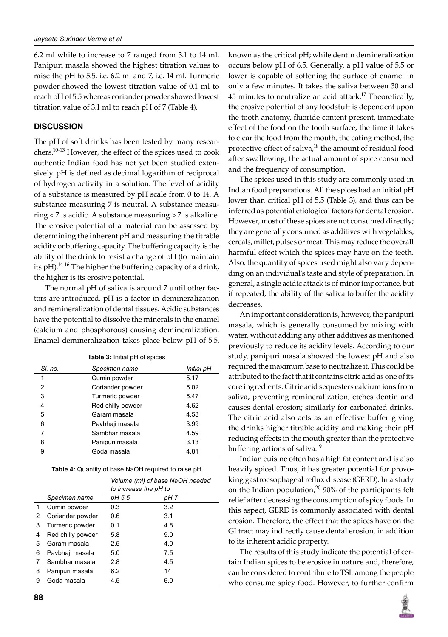6.2 ml while to increase to 7 ranged from 3.1 to 14 ml. Panipuri masala showed the highest titration values to raise the pH to 5.5, i.e. 6.2 ml and 7, i.e. 14 ml. Turmeric powder showed the lowest titration value of 0.1 ml to reach pH of 5.5 whereas coriander powder showed lowest titration value of 3.1 ml to reach pH of 7 (Table 4).

## **DISCUSSION**

The pH of soft drinks has been tested by many researchers.10-13 However, the effect of the spices used to cook authentic Indian food has not yet been studied extensively. pH is defined as decimal logarithm of reciprocal of hydrogen activity in a solution. The level of acidity of a substance is measured by pH scale from 0 to 14. A substance measuring 7 is neutral. A substance measuring <7 is acidic. A substance measuring >7 is alkaline. The erosive potential of a material can be assessed by determining the inherent pH and measuring the titrable acidity or buffering capacity. The buffering capacity is the ability of the drink to resist a change of pH (to maintain its pH).<sup>14-16</sup> The higher the buffering capacity of a drink, the higher is its erosive potential.

The normal pH of saliva is around 7 until other factors are introduced. pH is a factor in demineralization and remineralization of dental tissues. Acidic substances have the potential to dissolve the minerals in the enamel (calcium and phosphorous) causing demineralization. Enamel demineralization takes place below pH of 5.5,

| SI. no. | Specimen name     | Initial pH |
|---------|-------------------|------------|
| 1       | Cumin powder      | 5.17       |
| 2       | Coriander powder  | 5.02       |
| 3       | Turmeric powder   | 5.47       |
| 4       | Red chilly powder | 4.62       |
| 5       | Garam masala      | 4.53       |
| 6       | Pavbhaji masala   | 3.99       |
|         | Sambhar masala    | 4.59       |
| 8       | Panipuri masala   | 3.13       |
| 9       | Goda masala       | 4.81       |

| <b>Table 3:</b> Initial pH of spices |  |  |
|--------------------------------------|--|--|
|--------------------------------------|--|--|

|    |                   | Volume (ml) of base NaOH needed<br>to increase the pH to |      |
|----|-------------------|----------------------------------------------------------|------|
|    | Specimen name     | pH 5.5                                                   | pH 7 |
| 1. | Cumin powder      | 0.3                                                      | 3.2  |
| 2  | Coriander powder  | 0.6                                                      | 3.1  |
| 3  | Turmeric powder   | 0.1                                                      | 4.8  |
| 4  | Red chilly powder | 5.8                                                      | 9.0  |
| 5  | Garam masala      | 2.5                                                      | 4.0  |
| 6  | Pavbhaji masala   | 5.0                                                      | 7.5  |
| 7  | Sambhar masala    | 2.8                                                      | 4.5  |
| 8  | Panipuri masala   | 6.2                                                      | 14   |
| 9  | Goda masala       | 4.5                                                      | 6.0  |

known as the critical pH; while dentin demineralization occurs below pH of 6.5. Generally, a pH value of 5.5 or lower is capable of softening the surface of enamel in only a few minutes. It takes the saliva between 30 and  $45$  minutes to neutralize an acid attack.<sup>17</sup> Theoretically, the erosive potential of any foodstuff is dependent upon the tooth anatomy, fluoride content present, immediate effect of the food on the tooth surface, the time it takes to clear the food from the mouth, the eating method, the protective effect of saliva,<sup>18</sup> the amount of residual food after swallowing, the actual amount of spice consumed and the frequency of consumption.

The spices used in this study are commonly used in Indian food preparations. All the spices had an initial pH lower than critical pH of 5.5 (Table 3), and thus can be inferred as potential etiological factors for dental erosion. However, most of these spices are not consumed directly; they are generally consumed as additives with vegetables, cereals, millet, pulses or meat. This may reduce the overall harmful effect which the spices may have on the teeth. Also, the quantity of spices used might also vary depending on an individual's taste and style of preparation. In general, a single acidic attack is of minor importance, but if repeated, the ability of the saliva to buffer the acidity decreases.

An important consideration is, however, the panipuri masala, which is generally consumed by mixing with water, without adding any other additives as mentioned previously to reduce its acidity levels. According to our study, panipuri masala showed the lowest pH and also required the maximum base to neutralize it. This could be attributed to the fact that it contains citric acid as one of its core ingredients. Citric acid sequesters calcium ions from saliva, preventing remineralization, etches dentin and causes dental erosion; similarly for carbonated drinks. The citric acid also acts as an effective buffer giving the drinks higher titrable acidity and making their pH reducing effects in the mouth greater than the protective buffering actions of saliva.<sup>19</sup>

Indian cuisine often has a high fat content and is also heavily spiced. Thus, it has greater potential for provoking gastroesophageal reflux disease (GERD). In a study on the Indian population,<sup>20</sup> 90% of the participants felt relief after decreasing the consumption of spicy foods. In this aspect, GERD is commonly associated with dental erosion. Therefore, the effect that the spices have on the GI tract may indirectly cause dental erosion, in addition to its inherent acidic property.

The results of this study indicate the potential of certain Indian spices to be erosive in nature and, therefore, can be considered to contribute to TSL among the people who consume spicy food. However, to further confirm